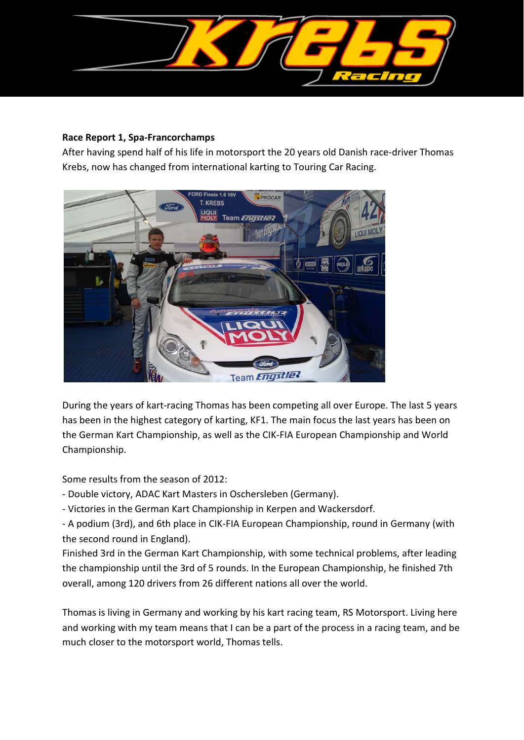

## **Race Report 1, Spa-Francorchamps**

After having spend half of his life in motorsport the 20 years old Danish race-driver Thomas Krebs, now has changed from international karting to Touring Car Racing.



During the years of kart-racing Thomas has been competing all over Europe. The last 5 years has been in the highest category of karting, KF1. The main focus the last years has been on the German Kart Championship, as well as the CIK-FIA European Championship and World Championship.

Some results from the season of 2012:

- Double victory, ADAC Kart Masters in Oschersleben (Germany).
- Victories in the German Kart Championship in Kerpen and Wackersdorf.

- A podium (3rd), and 6th place in CIK-FIA European Championship, round in Germany (with the second round in England).

Finished 3rd in the German Kart Championship, with some technical problems, after leading the championship until the 3rd of 5 rounds. In the European Championship, he finished 7th overall, among 120 drivers from 26 different nations all over the world.

Thomas is living in Germany and working by his kart racing team, RS Motorsport. Living here and working with my team means that I can be a part of the process in a racing team, and be much closer to the motorsport world, Thomas tells.